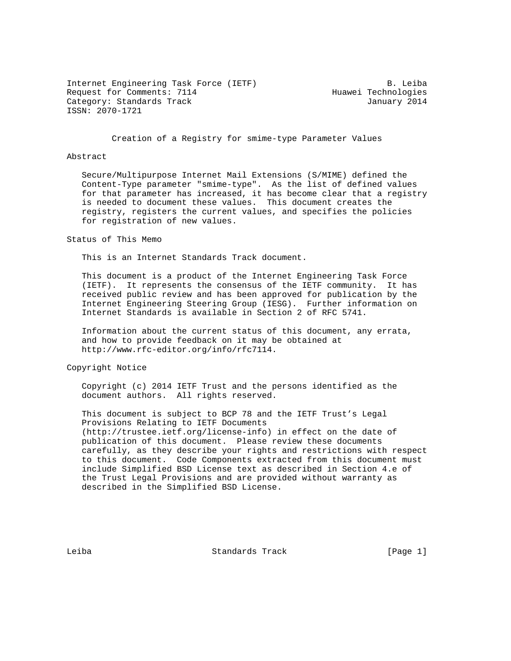Internet Engineering Task Force (IETF) B. Leiba Request for Comments: 7114 Huawei Technologies Category: Standards Track January 2014 ISSN: 2070-1721

Creation of a Registry for smime-type Parameter Values

### Abstract

 Secure/Multipurpose Internet Mail Extensions (S/MIME) defined the Content-Type parameter "smime-type". As the list of defined values for that parameter has increased, it has become clear that a registry is needed to document these values. This document creates the registry, registers the current values, and specifies the policies for registration of new values.

#### Status of This Memo

This is an Internet Standards Track document.

 This document is a product of the Internet Engineering Task Force (IETF). It represents the consensus of the IETF community. It has received public review and has been approved for publication by the Internet Engineering Steering Group (IESG). Further information on Internet Standards is available in Section 2 of RFC 5741.

 Information about the current status of this document, any errata, and how to provide feedback on it may be obtained at http://www.rfc-editor.org/info/rfc7114.

Copyright Notice

 Copyright (c) 2014 IETF Trust and the persons identified as the document authors. All rights reserved.

 This document is subject to BCP 78 and the IETF Trust's Legal Provisions Relating to IETF Documents (http://trustee.ietf.org/license-info) in effect on the date of publication of this document. Please review these documents carefully, as they describe your rights and restrictions with respect to this document. Code Components extracted from this document must include Simplified BSD License text as described in Section 4.e of the Trust Legal Provisions and are provided without warranty as described in the Simplified BSD License.

Leiba Standards Track [Page 1]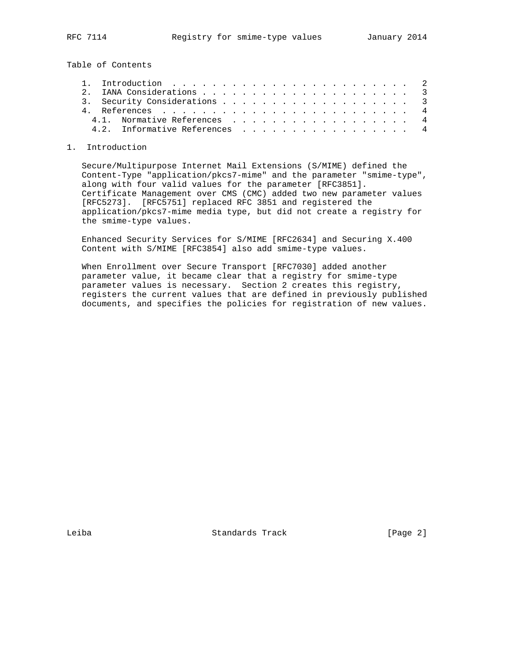Table of Contents

|  |  |  |  |  |  |  |  |  |  |  |  |  | 3. Security Considerations 3<br>4.1. Normative References 4<br>4.2. Informative References 4 |
|--|--|--|--|--|--|--|--|--|--|--|--|--|----------------------------------------------------------------------------------------------|

## 1. Introduction

 Secure/Multipurpose Internet Mail Extensions (S/MIME) defined the Content-Type "application/pkcs7-mime" and the parameter "smime-type", along with four valid values for the parameter [RFC3851]. Certificate Management over CMS (CMC) added two new parameter values [RFC5273]. [RFC5751] replaced RFC 3851 and registered the application/pkcs7-mime media type, but did not create a registry for the smime-type values.

 Enhanced Security Services for S/MIME [RFC2634] and Securing X.400 Content with S/MIME [RFC3854] also add smime-type values.

 When Enrollment over Secure Transport [RFC7030] added another parameter value, it became clear that a registry for smime-type parameter values is necessary. Section 2 creates this registry, registers the current values that are defined in previously published documents, and specifies the policies for registration of new values.

Leiba Standards Track [Page 2]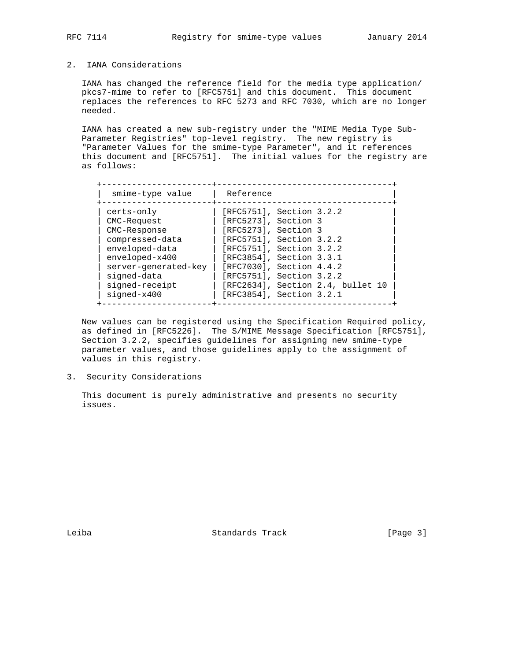# 2. IANA Considerations

 IANA has changed the reference field for the media type application/ pkcs7-mime to refer to [RFC5751] and this document. This document replaces the references to RFC 5273 and RFC 7030, which are no longer needed.

 IANA has created a new sub-registry under the "MIME Media Type Sub- Parameter Registries" top-level registry. The new registry is "Parameter Values for the smime-type Parameter", and it references this document and [RFC5751]. The initial values for the registry are as follows:

| smime-type value                                                                                                                                                               |
|--------------------------------------------------------------------------------------------------------------------------------------------------------------------------------|
| certs-only<br>CMC-Request<br>CMC-Response<br>compressed-data<br>enveloped-data<br>enveloped-x400<br>server-generated-key<br>signed-data<br>signed-receipt<br>$si$ qned- $x400$ |

 New values can be registered using the Specification Required policy, as defined in [RFC5226]. The S/MIME Message Specification [RFC5751], Section 3.2.2, specifies guidelines for assigning new smime-type parameter values, and those guidelines apply to the assignment of values in this registry.

3. Security Considerations

 This document is purely administrative and presents no security issues.

Leiba Standards Track [Page 3]